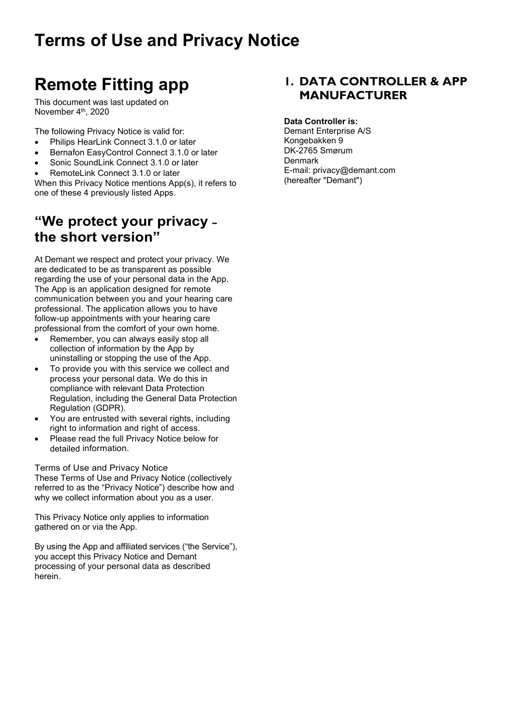# **Remote Fitting app**

This document was last updated on November 4<sup>th</sup>, 2020

The following Privacy Notice is valid for:

- Philips HearLink Connect 3.1.0 or later
- Bernafon EasyControl Connect 3.1.0 or later
- Sonic SoundLink Connect 3.1.0 or later
- RemoteLink Connect 3.1.0 or later

When this Privacy Notice mentions App(s), it refers to one of these 4 previously listed Apps.

# **"We protect your privacy ˗ the short version"**

At Demant we respect and protect your privacy. We are dedicated to be as transparent as possible regarding the use of your personal data in the App. The App is an application designed for remote communication between you and your hearing care professional. The application allows you to have follow-up appointments with your hearing care professional from the comfort of your own home.

- Remember, you can always easily stop all collection of information by the App by uninstalling or stopping the use of the App.
- To provide you with this service we collect and process your personal data. We do this in compliance with relevant Data Protection Regulation, including the General Data Protection Regulation (GDPR).
- You are entrusted with several rights, including right to information and right of access.
- Please read the full Privacy Notice below for detailed information.

Terms of Use and Privacy Notice

These Terms of Use and Privacy Notice (collectively referred to as the "Privacy Notice") describe how and why we collect information about you as a user.

This Privacy Notice only applies to information gathered on or via the App.

By using the App and affiliated services ("the Service"), you accept this Privacy Notice and Demant processing of your personal data as described herein.

#### **1. DATA CONTROLLER & APP MANUFACTURER**

#### **Data Controller is:**

Demant Enterprise A/S Kongebakken 9 DK-2765 Smørum **Denmark** E-mail: privacy@demant.com (hereafter "Demant")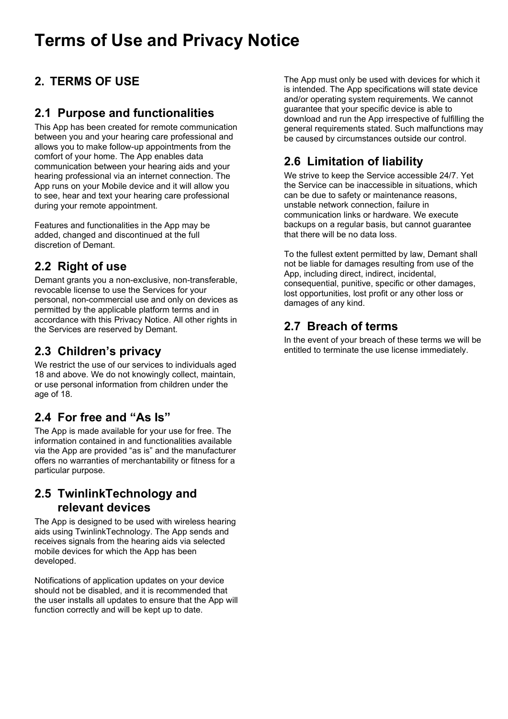# **2. TERMS OF USE**

#### **2.1 Purpose and functionalities**

This App has been created for remote communication between you and your hearing care professional and allows you to make follow-up appointments from the comfort of your home. The App enables data communication between your hearing aids and your hearing professional via an internet connection. The App runs on your Mobile device and it will allow you to see, hear and text your hearing care professional during your remote appointment.

Features and functionalities in the App may be added, changed and discontinued at the full discretion of Demant.

### **2.2 Right of use**

Demant grants you a non-exclusive, non-transferable, revocable license to use the Services for your personal, non-commercial use and only on devices as permitted by the applicable platform terms and in accordance with this Privacy Notice. All other rights in the Services are reserved by Demant.

### **2.3 Children's privacy**

We restrict the use of our services to individuals aged 18 and above. We do not knowingly collect, maintain, or use personal information from children under the age of 18.

### **2.4 For free and "As Is"**

The App is made available for your use for free. The information contained in and functionalities available via the App are provided "as is" and the manufacturer offers no warranties of merchantability or fitness for a particular purpose.

#### **2.5 TwinlinkTechnology and relevant devices**

The App is designed to be used with wireless hearing aids using TwinlinkTechnology. The App sends and receives signals from the hearing aids via selected mobile devices for which the App has been developed.

Notifications of application updates on your device should not be disabled, and it is recommended that the user installs all updates to ensure that the App will function correctly and will be kept up to date.

The App must only be used with devices for which it is intended. The App specifications will state device and/or operating system requirements. We cannot guarantee that your specific device is able to download and run the App irrespective of fulfilling the general requirements stated. Such malfunctions may be caused by circumstances outside our control.

## **2.6 Limitation of liability**

We strive to keep the Service accessible 24/7. Yet the Service can be inaccessible in situations, which can be due to safety or maintenance reasons, unstable network connection, failure in communication links or hardware. We execute backups on a regular basis, but cannot guarantee that there will be no data loss.

To the fullest extent permitted by law, Demant shall not be liable for damages resulting from use of the App, including direct, indirect, incidental, consequential, punitive, specific or other damages, lost opportunities, lost profit or any other loss or damages of any kind.

## **2.7 Breach of terms**

In the event of your breach of these terms we will be entitled to terminate the use license immediately.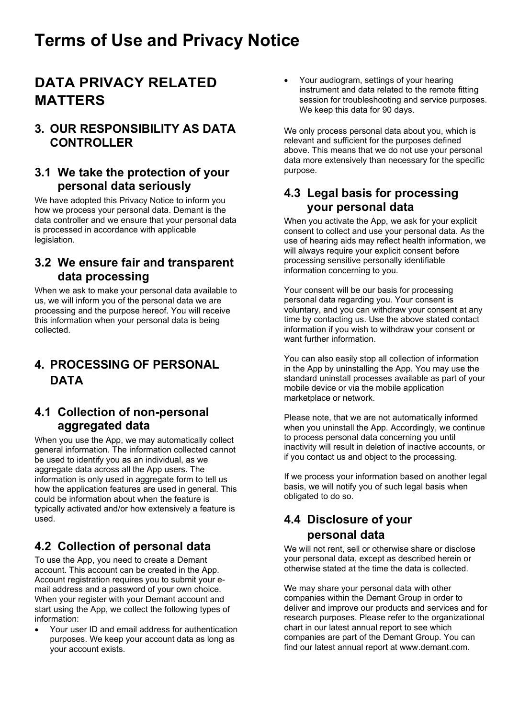# **DATA PRIVACY RELATED MATTERS**

#### **3. OUR RESPONSIBILITY AS DATA CONTROLLER**

#### **3.1 We take the protection of your personal data seriously**

We have adopted this Privacy Notice to inform you how we process your personal data. Demant is the data controller and we ensure that your personal data is processed in accordance with applicable legislation.

#### **3.2 We ensure fair and transparent data processing**

When we ask to make your personal data available to us, we will inform you of the personal data we are processing and the purpose hereof. You will receive this information when your personal data is being collected.

## **4. PROCESSING OF PERSONAL DATA**

#### **4.1 Collection of non-personal aggregated data**

When you use the App, we may automatically collect general information. The information collected cannot be used to identify you as an individual, as we aggregate data across all the App users. The information is only used in aggregate form to tell us how the application features are used in general. This could be information about when the feature is typically activated and/or how extensively a feature is used.

### **4.2 Collection of personal data**

To use the App, you need to create a Demant account. This account can be created in the App. Account registration requires you to submit your email address and a password of your own choice. When your register with your Demant account and start using the App, we collect the following types of information:

• Your user ID and email address for authentication purposes. We keep your account data as long as your account exists.

• Your audiogram, settings of your hearing instrument and data related to the remote fitting session for troubleshooting and service purposes. We keep this data for 90 days.

We only process personal data about you, which is relevant and sufficient for the purposes defined above. This means that we do not use your personal data more extensively than necessary for the specific purpose.

#### **4.3 Legal basis for processing your personal data**

When you activate the App, we ask for your explicit consent to collect and use your personal data. As the use of hearing aids may reflect health information, we will always require your explicit consent before processing sensitive personally identifiable information concerning to you.

Your consent will be our basis for processing personal data regarding you. Your consent is voluntary, and you can withdraw your consent at any time by contacting us. Use the above stated contact information if you wish to withdraw your consent or want further information.

You can also easily stop all collection of information in the App by uninstalling the App. You may use the standard uninstall processes available as part of your mobile device or via the mobile application marketplace or network.

Please note, that we are not automatically informed when you uninstall the App. Accordingly, we continue to process personal data concerning you until inactivity will result in deletion of inactive accounts, or if you contact us and object to the processing.

If we process your information based on another legal basis, we will notify you of such legal basis when obligated to do so.

### **4.4 Disclosure of your personal data**

We will not rent, sell or otherwise share or disclose your personal data, except as described herein or otherwise stated at the time the data is collected.

We may share your personal data with other companies within the Demant Group in order to deliver and improve our products and services and for research purposes. Please refer to the organizational chart in our latest annual report to see which companies are part of the Demant Group. You can find our latest annual report at [www.demant.com.](http://www.demant.com/)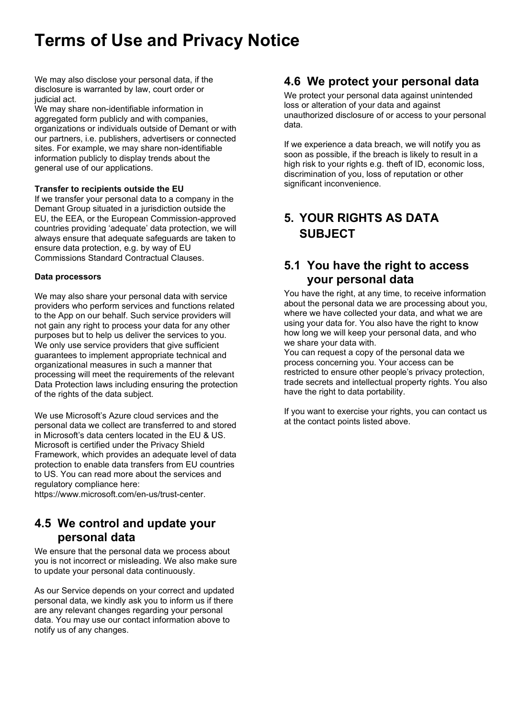We may also disclose your personal data, if the disclosure is warranted by law, court order or judicial act.

We may share non-identifiable information in aggregated form publicly and with companies. organizations or individuals outside of Demant or with our partners, i.e. publishers, advertisers or connected sites. For example, we may share non-identifiable information publicly to display trends about the general use of our applications.

#### **Transfer to recipients outside the EU**

If we transfer your personal data to a company in the Demant Group situated in a jurisdiction outside the EU, the EEA, or the European Commission-approved countries providing 'adequate' data protection, we will always ensure that adequate safeguards are taken to ensure data protection, e.g. by way of EU Commissions Standard Contractual Clauses.

#### **Data processors**

We may also share your personal data with service providers who perform services and functions related to the App on our behalf. Such service providers will not gain any right to process your data for any other purposes but to help us deliver the services to you. We only use service providers that give sufficient guarantees to implement appropriate technical and organizational measures in such a manner that processing will meet the requirements of the relevant Data Protection laws including ensuring the protection of the rights of the data subject.

We use Microsoft's Azure cloud services and the personal data we collect are transferred to and stored in Microsoft's data centers located in the EU & US. Microsoft is certified under the Privacy Shield Framework, which provides an adequate level of data protection to enable data transfers from EU countries to US. You can read more about the services and regulatory compliance here:

https://www.microsoft.com/en-us/trust-center.

#### **4.5 We control and update your personal data**

We ensure that the personal data we process about you is not incorrect or misleading. We also make sure to update your personal data continuously.

As our Service depends on your correct and updated personal data, we kindly ask you to inform us if there are any relevant changes regarding your personal data. You may use our contact information above to notify us of any changes.

#### **4.6 We protect your personal data**

We protect your personal data against unintended loss or alteration of your data and against unauthorized disclosure of or access to your personal data.

If we experience a data breach, we will notify you as soon as possible, if the breach is likely to result in a high risk to your rights e.g. theft of ID, economic loss, discrimination of you, loss of reputation or other significant inconvenience.

### **5. YOUR RIGHTS AS DATA SUBJECT**

#### **5.1 You have the right to access your personal data**

You have the right, at any time, to receive information about the personal data we are processing about you, where we have collected your data, and what we are using your data for. You also have the right to know how long we will keep your personal data, and who we share your data with.

You can request a copy of the personal data we process concerning you. Your access can be restricted to ensure other people's privacy protection, trade secrets and intellectual property rights. You also have the right to data portability.

If you want to exercise your rights, you can contact us at the contact points listed above.